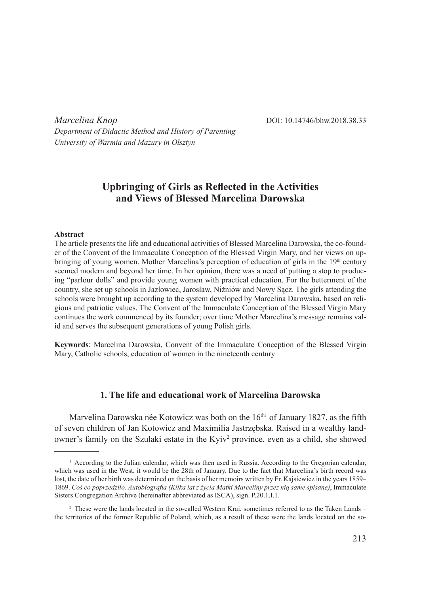*Marcelina Knop* **DOI:** 10.14746/bhw.2018.38.33

*Department of Didactic Method and History of Parenting University of Warmia and Mazury in Olsztyn*

# **Upbringing of Girls as Reflected in the Activities and Views of Blessed Marcelina Darowska**

#### **Abstract**

The article presents the life and educational activities of Blessed Marcelina Darowska, the co-founder of the Convent of the Immaculate Conception of the Blessed Virgin Mary, and her views on upbringing of young women. Mother Marcelina's perception of education of girls in the 19<sup>th</sup> century seemed modern and beyond her time. In her opinion, there was a need of putting a stop to producing "parlour dolls" and provide young women with practical education. For the betterment of the country, she set up schools in Jazłowiec, Jarosław, Niżniów and Nowy Sącz. The girls attending the schools were brought up according to the system developed by Marcelina Darowska, based on religious and patriotic values. The Convent of the Immaculate Conception of the Blessed Virgin Mary continues the work commenced by its founder; over time Mother Marcelina's message remains valid and serves the subsequent generations of young Polish girls.

**Keywords**: Marcelina Darowska, Convent of the Immaculate Conception of the Blessed Virgin Mary, Catholic schools, education of women in the nineteenth century

# **1. The life and educational work of Marcelina Darowska**

Marvelina Darowska née Kotowicz was both on the  $16<sup>th1</sup>$  of January 1827, as the fifth of seven children of Jan Kotowicz and Maximilia Jastrzębska. Raised in a wealthy landowner's family on the Szulaki estate in the Kyiv<sup>2</sup> province, even as a child, she showed

 $<sup>1</sup>$  According to the Julian calendar, which was then used in Russia. According to the Gregorian calendar,</sup> which was used in the West, it would be the 28th of January. Due to the fact that Marcelina's birth record was lost, the date of her birth was determined on the basis of her memoirs written by Fr. Kajsiewicz in the years 1859– 1869. *Coś co poprzedziło. Autobiografia (Kilka lat z życia Matki Marceliny przez nią same spisane)*, Immaculate Sisters Congregation Archive (hereinafter abbreviated as ISCA), sign. P.20.1.I.1.

<sup>&</sup>lt;sup>2</sup> These were the lands located in the so-called Western Krai, sometimes referred to as the Taken Lands – the territories of the former Republic of Poland, which, as a result of these were the lands located on the so-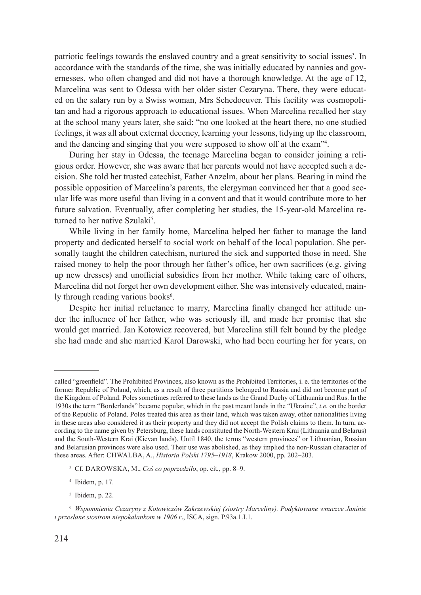patriotic feelings towards the enslaved country and a great sensitivity to social issues<sup>3</sup>. In accordance with the standards of the time, she was initially educated by nannies and governesses, who often changed and did not have a thorough knowledge. At the age of 12, Marcelina was sent to Odessa with her older sister Cezaryna. There, they were educated on the salary run by a Swiss woman, Mrs Schedoeuver. This facility was cosmopolitan and had a rigorous approach to educational issues. When Marcelina recalled her stay at the school many years later, she said: "no one looked at the heart there, no one studied feelings, it was all about external decency, learning your lessons, tidying up the classroom, and the dancing and singing that you were supposed to show off at the exam"4 .

During her stay in Odessa, the teenage Marcelina began to consider joining a religious order. However, she was aware that her parents would not have accepted such a decision. She told her trusted catechist, Father Anzelm, about her plans. Bearing in mind the possible opposition of Marcelina's parents, the clergyman convinced her that a good secular life was more useful than living in a convent and that it would contribute more to her future salvation. Eventually, after completing her studies, the 15-year-old Marcelina returned to her native Szulaki<sup>5</sup>.

While living in her family home, Marcelina helped her father to manage the land property and dedicated herself to social work on behalf of the local population. She personally taught the children catechism, nurtured the sick and supported those in need. She raised money to help the poor through her father's office, her own sacrifices (e.g. giving up new dresses) and unofficial subsidies from her mother. While taking care of others, Marcelina did not forget her own development either. She was intensively educated, mainly through reading various books<sup>6</sup>.

Despite her initial reluctance to marry, Marcelina finally changed her attitude under the influence of her father, who was seriously ill, and made her promise that she would get married. Jan Kotowicz recovered, but Marcelina still felt bound by the pledge she had made and she married Karol Darowski, who had been courting her for years, on

called "greenfield". The Prohibited Provinces, also known as the Prohibited Territories, i. e. the territories of the former Republic of Poland, which, as a result of three partitions belonged to Russia and did not become part of the Kingdom of Poland. Poles sometimes referred to these lands as the Grand Duchy of Lithuania and Rus. In the 1930s the term "Borderlands" became popular, which in the past meant lands in the "Ukraine", *i.e.* on the border of the Republic of Poland. Poles treated this area as their land, which was taken away, other nationalities living in these areas also considered it as their property and they did not accept the Polish claims to them. In turn, according to the name given by Petersburg, these lands constituted the North-Western Krai (Lithuania and Belarus) and the South-Western Krai (Kievan lands). Until 1840, the terms "western provinces" or Lithuanian, Russian and Belarusian provinces were also used. Their use was abolished, as they implied the non-Russian character of these areas. After: Chwalba, A., *Historia Polski 1795–1918*, Krakow 2000, pp. 202–203.

<sup>3</sup> Cf. Darowska, M., *Coś co poprzedziło*, op. cit*.*, pp. 8–9.

<sup>4</sup> Ibidem, p. 17.

<sup>5</sup> Ibidem, p. 22.

<sup>6</sup> *Wspomnienia Cezaryny z Kotowiczów Zakrzewskiej (siostry Marceliny). Podyktowane wnuczce Janinie i przesłane siostrom niepokalankom w 1906 r*., ISCA, sign. P.93a.1.I.1.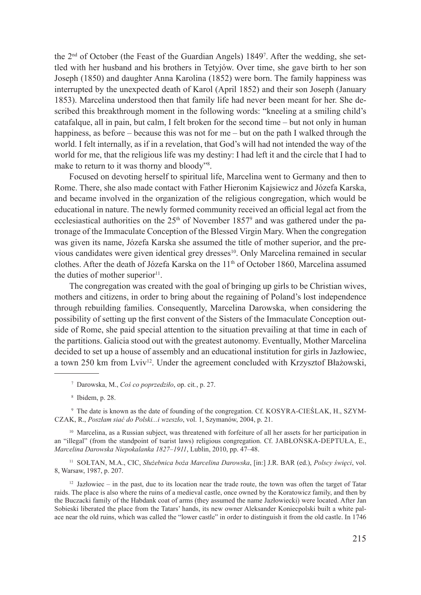the 2<sup>nd</sup> of October (the Feast of the Guardian Angels) 1849<sup>7</sup>. After the wedding, she settled with her husband and his brothers in Tetyjów. Over time, she gave birth to her son Joseph (1850) and daughter Anna Karolina (1852) were born. The family happiness was interrupted by the unexpected death of Karol (April 1852) and their son Joseph (January 1853). Marcelina understood then that family life had never been meant for her. She described this breakthrough moment in the following words: "kneeling at a smiling child's catafalque, all in pain, but calm, I felt broken for the second time – but not only in human happiness, as before – because this was not for me – but on the path I walked through the world. I felt internally, as if in a revelation, that God's will had not intended the way of the world for me, that the religious life was my destiny: I had left it and the circle that I had to make to return to it was thorny and bloody"<sup>8</sup>.

Focused on devoting herself to spiritual life, Marcelina went to Germany and then to Rome. There, she also made contact with Father Hieronim Kajsiewicz and Józefa Karska, and became involved in the organization of the religious congregation, which would be educational in nature. The newly formed community received an official legal act from the ecclesiastical authorities on the  $25<sup>th</sup>$  of November 1857<sup>9</sup> and was gathered under the patronage of the Immaculate Conception of the Blessed Virgin Mary. When the congregation was given its name, Józefa Karska she assumed the title of mother superior, and the previous candidates were given identical grey dresses<sup>10</sup>. Only Marcelina remained in secular clothes. After the death of Józefa Karska on the  $11<sup>th</sup>$  of October 1860, Marcelina assumed the duties of mother superior $<sup>11</sup>$ .</sup>

The congregation was created with the goal of bringing up girls to be Christian wives, mothers and citizens, in order to bring about the regaining of Poland's lost independence through rebuilding families. Consequently, Marcelina Darowska, when considering the possibility of setting up the first convent of the Sisters of the Immaculate Conception outside of Rome, she paid special attention to the situation prevailing at that time in each of the partitions. Galicia stood out with the greatest autonomy. Eventually, Mother Marcelina decided to set up a house of assembly and an educational institution for girls in Jazłowiec, a town 250 km from Lviv<sup>12</sup>. Under the agreement concluded with Krzysztof Błażowski,

<sup>9</sup> The date is known as the date of founding of the congregation. Cf. KOSYRA-CIEŚLAK, H., SZYMczak, R., *Poszłam siać do Polski...i wzeszło*, vol. 1, Szymanów, 2004, p. 21.

<sup>10</sup> Marcelina, as a Russian subject, was threatened with forfeiture of all her assets for her participation in an "illegal" (from the standpoint of tsarist laws) religious congregation. Cf. JABŁOŃSKA-DEPTUŁA, E., *Marcelina Darowska Niepokalanka 1827–1911*, Lublin, 2010, pp. 47–48.

<sup>11</sup> Sołtan, M.A., CIC, *Służebnica boża Marcelina Darowska*, [in:] J.R. BAR (ed.), *Polscy święci*, vol. 8, Warsaw, 1987, p. 207.

 $12$  Jazłowiec – in the past, due to its location near the trade route, the town was often the target of Tatar raids. The place is also where the ruins of a medieval castle, once owned by the Koratowicz family, and then by the Buczacki family of the Habdank coat of arms (they assumed the name Jazłowiecki) were located. After Jan Sobieski liberated the place from the Tatars' hands, its new owner Aleksander Koniecpolski built a white palace near the old ruins, which was called the "lower castle" in order to distinguish it from the old castle. In 1746

<sup>7</sup> Darowska, M., *Coś co poprzedziło*, op. cit*.*, p. 27.

<sup>8</sup> Ibidem, p. 28.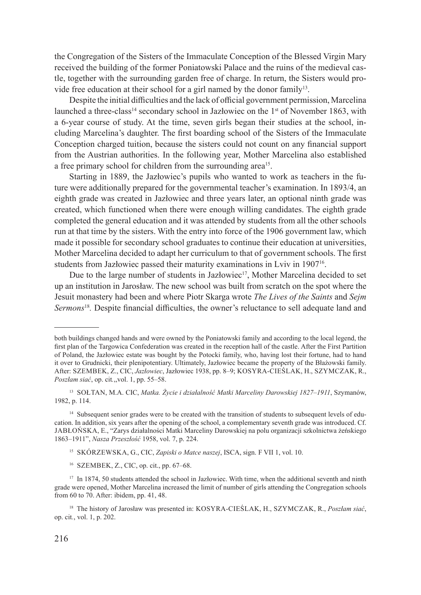the Congregation of the Sisters of the Immaculate Conception of the Blessed Virgin Mary received the building of the former Poniatowski Palace and the ruins of the medieval castle, together with the surrounding garden free of charge. In return, the Sisters would provide free education at their school for a girl named by the donor family<sup>13</sup>.

Despite the initial difficulties and the lack of official government permission, Marcelina launched a three-class<sup>14</sup> secondary school in Jazłowiec on the 1<sup>st</sup> of November 1863, with a 6-year course of study. At the time, seven girls began their studies at the school, including Marcelina's daughter. The first boarding school of the Sisters of the Immaculate Conception charged tuition, because the sisters could not count on any financial support from the Austrian authorities. In the following year, Mother Marcelina also established a free primary school for children from the surrounding area<sup>15</sup>.

Starting in 1889, the Jazłowiec's pupils who wanted to work as teachers in the future were additionally prepared for the governmental teacher's examination. In 1893/4, an eighth grade was created in Jazłowiec and three years later, an optional ninth grade was created, which functioned when there were enough willing candidates. The eighth grade completed the general education and it was attended by students from all the other schools run at that time by the sisters. With the entry into force of the 1906 government law, which made it possible for secondary school graduates to continue their education at universities, Mother Marcelina decided to adapt her curriculum to that of government schools. The first students from Jazłowiec passed their maturity examinations in Lviv in 1907<sup>16</sup>.

Due to the large number of students in Jazłowiec<sup>17</sup>, Mother Marcelina decided to set up an institution in Jarosław. The new school was built from scratch on the spot where the Jesuit monastery had been and where Piotr Skarga wrote *The Lives of the Saints* and *Sejm Sermons*<sup>18</sup>*.* Despite financial difficulties, the owner's reluctance to sell adequate land and

both buildings changed hands and were owned by the Poniatowski family and according to the local legend, the first plan of the Targowica Confederation was created in the reception hall of the castle. After the First Partition of Poland, the Jazłowiec estate was bought by the Potocki family, who, having lost their fortune, had to hand it over to Grudnicki, their plenipotentiary. Ultimately, Jazłowiec became the property of the Błażowski family. After: Szembek, Z., CIC, *Jazłowiec*, Jazłowiec 1938, pp. 8–9; Kosyra-Cieślak, H., Szymczak, R., *Poszłam siać*, op. cit*.*,,vol. 1, pp. 55–58.

<sup>13</sup> Sołtan, M.A. CIC, *Matka. Życie i działalność Matki Marceliny Darowskiej 1827–1911*, Szymanów, 1982, p. 114.

<sup>&</sup>lt;sup>14</sup> Subsequent senior grades were to be created with the transition of students to subsequent levels of education. In addition, six years after the opening of the school, a complementary seventh grade was introduced. Cf. Jabłońska, E., "Zarys działalności Matki Marceliny Darowskiej na polu organizacji szkolnictwa żeńskiego 1863–1911", *Nasza Przeszłość* 1958, vol. 7, p. 224.

<sup>15</sup> Skórzewska, G., CIC, *Zapiski o Matce naszej*, ISCA, sign. F VII 1, vol. 10.

<sup>16</sup> Szembek, Z., CIC, op. cit., pp. 67–68.

<sup>&</sup>lt;sup>17</sup> In 1874, 50 students attended the school in Jazłowiec. With time, when the additional seventh and ninth grade were opened, Mother Marcelina increased the limit of number of girls attending the Congregation schools from 60 to 70. After: ibidem, pp. 41, 48.

<sup>18</sup> The history of Jarosław was presented in: Kosyra-Cieślak, H., Szymczak, R., *Poszłam siać*, op. cit*.*, vol. 1, p. 202.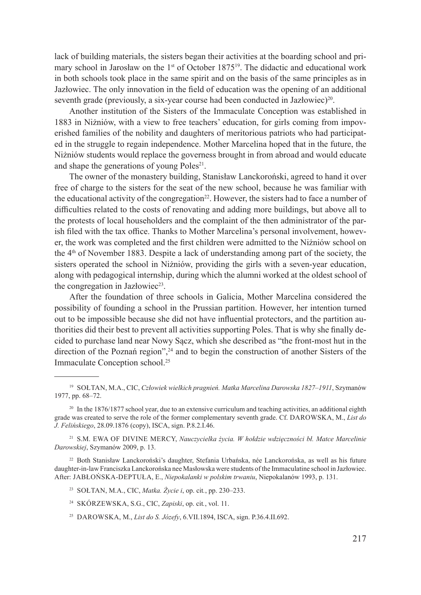lack of building materials, the sisters began their activities at the boarding school and primary school in Jarosław on the  $1<sup>st</sup>$  of October 1875<sup>19</sup>. The didactic and educational work in both schools took place in the same spirit and on the basis of the same principles as in Jazłowiec. The only innovation in the field of education was the opening of an additional seventh grade (previously, a six-year course had been conducted in Jazłowiec)<sup>20</sup>.

Another institution of the Sisters of the Immaculate Conception was established in 1883 in Niżniów, with a view to free teachers' education, for girls coming from impoverished families of the nobility and daughters of meritorious patriots who had participated in the struggle to regain independence. Mother Marcelina hoped that in the future, the Niżniów students would replace the governess brought in from abroad and would educate and shape the generations of young Poles<sup>21</sup>.

The owner of the monastery building, Stanisław Lanckoroński, agreed to hand it over free of charge to the sisters for the seat of the new school, because he was familiar with the educational activity of the congregation<sup>22</sup>. However, the sisters had to face a number of difficulties related to the costs of renovating and adding more buildings, but above all to the protests of local householders and the complaint of the then administrator of the parish filed with the tax office. Thanks to Mother Marcelina's personal involvement, however, the work was completed and the first children were admitted to the Niżniów school on the  $4<sup>th</sup>$  of November 1883. Despite a lack of understanding among part of the society, the sisters operated the school in Niżniów, providing the girls with a seven-year education, along with pedagogical internship, during which the alumni worked at the oldest school of the congregation in Jazłowiec<sup>23</sup>.

After the foundation of three schools in Galicia, Mother Marcelina considered the possibility of founding a school in the Prussian partition. However, her intention turned out to be impossible because she did not have influential protectors, and the partition authorities did their best to prevent all activities supporting Poles. That is why she finally decided to purchase land near Nowy Sącz, which she described as "the front-most hut in the direction of the Poznań region",<sup>24</sup> and to begin the construction of another Sisters of the Immaculate Conception school.<sup>25</sup>

<sup>21</sup> S.M. Ewa of Divine Mercy, *Nauczycielka życia. W hołdzie wdzięczności bł. Matce Marcelinie Darowskiej*, Szymanów 2009, p. 13.

<sup>22</sup> Both Stanisław Lanckoroński's daughter, Stefania Urbańska, née Lanckorońska, as well as his future daughter-in-law Franciszka Lanckorońska nee Masłowska were students of the Immaculatine school in Jazłowiec. After: Jabłońska-Deptuła, E., *Niepokalanki w polskim trwaniu*, Niepokalanów 1993, p. 131.

<sup>19</sup> Sołtan, M.A., CIC, *Człowiek wielkich pragnień. Matka Marcelina Darowska 1827–1911*, Szymanów 1977, pp. 68–72.

<sup>&</sup>lt;sup>20</sup> In the 1876/1877 school year, due to an extensive curriculum and teaching activities, an additional eighth grade was created to serve the role of the former complementary seventh grade. Cf. Darowska, M., *List do J. Felińskiego*, 28.09.1876 (copy), ISCA, sign. P.8.2.I.46.

<sup>23</sup> Sołtan, M.A., CIC, *Matka. Życie i*, op. cit*.*, pp. 230–233.

<sup>24</sup> Skórzewska, S.G., CIC, *Zapiski*, op. cit*.*, vol. 11.

<sup>25</sup> Darowska, M., *List do S. Józefy*, 6.VII.1894, ISCA, sign. P.36.4.II.692.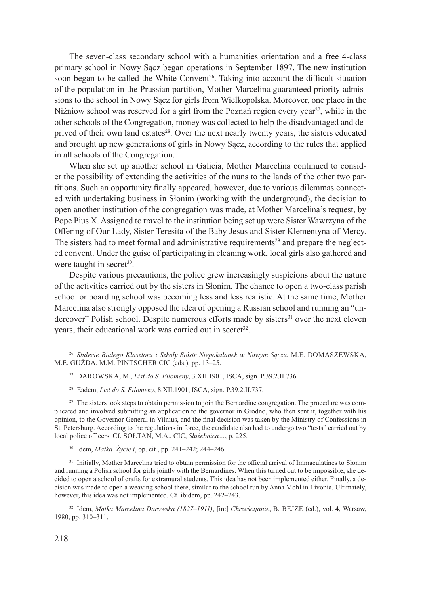The seven-class secondary school with a humanities orientation and a free 4-class primary school in Nowy Sącz began operations in September 1897. The new institution soon began to be called the White Convent<sup>26</sup>. Taking into account the difficult situation of the population in the Prussian partition, Mother Marcelina guaranteed priority admissions to the school in Nowy Sącz for girls from Wielkopolska. Moreover, one place in the Niżniów school was reserved for a girl from the Poznań region every year<sup>27</sup>, while in the other schools of the Congregation, money was collected to help the disadvantaged and deprived of their own land estates<sup>28</sup>. Over the next nearly twenty years, the sisters educated and brought up new generations of girls in Nowy Sącz, according to the rules that applied in all schools of the Congregation.

When she set up another school in Galicia, Mother Marcelina continued to consider the possibility of extending the activities of the nuns to the lands of the other two partitions. Such an opportunity finally appeared, however, due to various dilemmas connected with undertaking business in Słonim (working with the underground), the decision to open another institution of the congregation was made, at Mother Marcelina's request, by Pope Pius X. Assigned to travel to the institution being set up were Sister Wawrzyna of the Offering of Our Lady, Sister Teresita of the Baby Jesus and Sister Klementyna of Mercy. The sisters had to meet formal and administrative requirements<sup>29</sup> and prepare the neglected convent. Under the guise of participating in cleaning work, local girls also gathered and were taught in secret $30$ .

Despite various precautions, the police grew increasingly suspicions about the nature of the activities carried out by the sisters in Słonim. The chance to open a two-class parish school or boarding school was becoming less and less realistic. At the same time, Mother Marcelina also strongly opposed the idea of opening a Russian school and running an "undercover" Polish school. Despite numerous efforts made by sisters<sup>31</sup> over the next eleven years, their educational work was carried out in secret<sup>32</sup>.

- <sup>27</sup> Darowska, M., *List do S. Filomeny*, 3.XII.1901, ISCA, sign. P.39.2.II.736.
- <sup>28</sup> Eadem, *List do S. Filomeny*, 8.XII.1901, ISCA, sign. P.39.2.II.737.

<sup>29</sup> The sisters took steps to obtain permission to join the Bernardine congregation. The procedure was complicated and involved submitting an application to the governor in Grodno, who then sent it, together with his opinion, to the Governor General in Vilnius, and the final decision was taken by the Ministry of Confessions in St. Petersburg. According to the regulations in force, the candidate also had to undergo two "tests" carried out by local police officers. Cf. SOŁTAN, M.A., CIC, *Służebnica*..., p. 225.

<sup>30</sup> Idem, *Matka. Życie i*, op. cit*.*, pp. 241–242; 244–246.

<sup>31</sup> Initially, Mother Marcelina tried to obtain permission for the official arrival of Immaculatines to Słonim and running a Polish school for girls jointly with the Bernardines. When this turned out to be impossible, she decided to open a school of crafts for extramural students. This idea has not been implemented either. Finally, a decision was made to open a weaving school there, similar to the school run by Anna Mohl in Livonia. Ultimately, however, this idea was not implemented. Cf. ibidem, pp. 242–243.

<sup>32</sup> Idem, *Matka Marcelina Darowska (1827–1911)*, [in:] *Chrześcijanie*, B. Bejze (ed.), vol. 4, Warsaw, 1980, pp. 310–311.

<sup>26</sup> *Stulecie Białego Klasztoru i Szkoły Sióstr Niepokalanek w Nowym Sączu*, M.E. Domaszewska, M.E. Gużda, M.M. Pintscher CIC (eds.), pp. 13–25.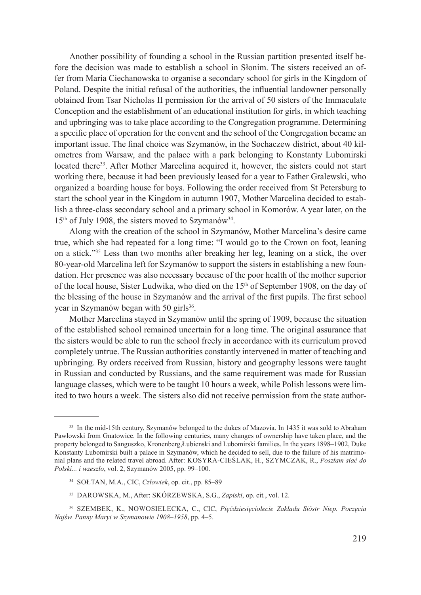Another possibility of founding a school in the Russian partition presented itself before the decision was made to establish a school in Słonim. The sisters received an offer from Maria Ciechanowska to organise a secondary school for girls in the Kingdom of Poland. Despite the initial refusal of the authorities, the influential landowner personally obtained from Tsar Nicholas II permission for the arrival of 50 sisters of the Immaculate Conception and the establishment of an educational institution for girls, in which teaching and upbringing was to take place according to the Congregation programme. Determining a specific place of operation for the convent and the school of the Congregation became an important issue. The final choice was Szymanów, in the Sochaczew district, about 40 kilometres from Warsaw, and the palace with a park belonging to Konstanty Lubomirski located there<sup>33</sup>. After Mother Marcelina acquired it, however, the sisters could not start working there, because it had been previously leased for a year to Father Gralewski, who organized a boarding house for boys. Following the order received from St Petersburg to start the school year in the Kingdom in autumn 1907, Mother Marcelina decided to establish a three-class secondary school and a primary school in Komorów. A year later, on the  $15<sup>th</sup>$  of July 1908, the sisters moved to Szymanów<sup>34</sup>.

Along with the creation of the school in Szymanów, Mother Marcelina's desire came true, which she had repeated for a long time: "I would go to the Crown on foot, leaning on a stick."35 Less than two months after breaking her leg, leaning on a stick, the over 80-year-old Marcelina left for Szymanów to support the sisters in establishing a new foundation. Her presence was also necessary because of the poor health of the mother superior of the local house, Sister Ludwika, who died on the  $15<sup>th</sup>$  of September 1908, on the day of the blessing of the house in Szymanów and the arrival of the first pupils. The first school year in Szymanów began with 50 girls<sup>36</sup>.

Mother Marcelina stayed in Szymanów until the spring of 1909, because the situation of the established school remained uncertain for a long time. The original assurance that the sisters would be able to run the school freely in accordance with its curriculum proved completely untrue. The Russian authorities constantly intervened in matter of teaching and upbringing. By orders received from Russian, history and geography lessons were taught in Russian and conducted by Russians, and the same requirement was made for Russian language classes, which were to be taught 10 hours a week, while Polish lessons were limited to two hours a week. The sisters also did not receive permission from the state author-

- <sup>34</sup> Sołtan, M.A., CIC, *Człowiek*, op. cit*.*, pp. 85–89
- <sup>35</sup> Darowska, M., After: Skórzewska, S.G., *Zapiski*, op. cit*.*, vol. 12.

<sup>33</sup> In the mid-15th century, Szymanów belonged to the dukes of Mazovia. In 1435 it was sold to Abraham Pawłowski from Gnatowice. In the following centuries, many changes of ownership have taken place, and the property belonged to Sanguszko, Kronenberg,Łubienski and Lubomirski families. In the years 1898–1902, Duke Konstanty Lubomirski built a palace in Szymanów, which he decided to sell, due to the failure of his matrimonial plans and the related travel abroad. After: Kosyra-Cieślak, H., Szymczak, R., *Poszłam siać do Polski... i wzeszło*, vol. 2, Szymanów 2005, pp. 99–100.

<sup>36</sup> Szembek, K., Nowosielecka, C., CIC, *Pięćdziesięciolecie Zakładu Sióstr Niep. Poczęcia Najśw. Panny Maryi w Szymanowie 1908–1958*, pp. 4–5.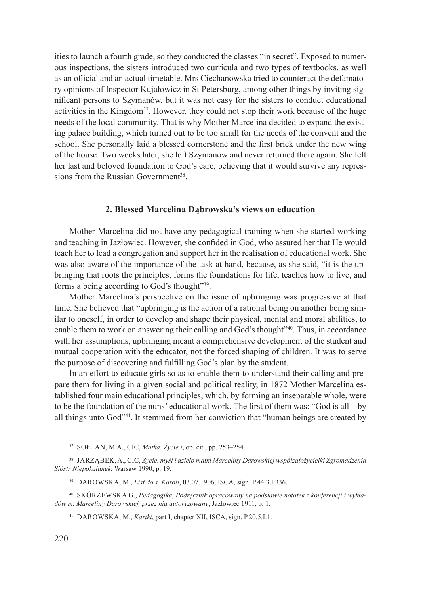ities to launch a fourth grade, so they conducted the classes "in secret". Exposed to numerous inspections, the sisters introduced two curricula and two types of textbooks, as well as an official and an actual timetable. Mrs Ciechanowska tried to counteract the defamatory opinions of Inspector Kujałowicz in St Petersburg, among other things by inviting significant persons to Szymanów, but it was not easy for the sisters to conduct educational activities in the Kingdom<sup>37</sup>. However, they could not stop their work because of the huge needs of the local community. That is why Mother Marcelina decided to expand the existing palace building, which turned out to be too small for the needs of the convent and the school. She personally laid a blessed cornerstone and the first brick under the new wing of the house. Two weeks later, she left Szymanów and never returned there again. She left her last and beloved foundation to God's care, believing that it would survive any repressions from the Russian Government<sup>38</sup>

#### **2. Blessed Marcelina Dąbrowska's views on education**

Mother Marcelina did not have any pedagogical training when she started working and teaching in Jazłowiec. However, she confided in God, who assured her that He would teach her to lead a congregation and support her in the realisation of educational work. She was also aware of the importance of the task at hand, because, as she said, "it is the upbringing that roots the principles, forms the foundations for life, teaches how to live, and forms a being according to God's thought"39.

Mother Marcelina's perspective on the issue of upbringing was progressive at that time. She believed that "upbringing is the action of a rational being on another being similar to oneself, in order to develop and shape their physical, mental and moral abilities, to enable them to work on answering their calling and God's thought"40. Thus, in accordance with her assumptions, upbringing meant a comprehensive development of the student and mutual cooperation with the educator, not the forced shaping of children. It was to serve the purpose of discovering and fulfilling God's plan by the student.

In an effort to educate girls so as to enable them to understand their calling and prepare them for living in a given social and political reality, in 1872 Mother Marcelina established four main educational principles, which, by forming an inseparable whole, were to be the foundation of the nuns' educational work. The first of them was: "God is all – by all things unto God"41. It stemmed from her conviction that "human beings are created by

<sup>37</sup> Sołtan, M.A., CIC, *Matka. Życie i*, op. cit*.*, pp. 253–254.

<sup>38</sup> Jarząbek, A., CIC, *Życie, myśl i dzieło matki Marceliny Darowskiej współzałożycielki Zgromadzenia Sióstr Niepokalanek*, Warsaw 1990, p. 19.

<sup>39</sup> Darowska, M., *List do s. Karoli*, 03.07.1906, ISCA, sign. P.44.3.I.336.

<sup>40</sup> Skórzewska G., *Pedagogika*, *Podręcznik opracowany na podstawie notatek z konferencji i wykładów m. Marceliny Darowskiej, przez nią autoryzowany*, Jazłowiec 1911, p. 1.

<sup>41</sup> Darowska, M., *Kartki*, part I, chapter XII, ISCA, sign. P.20.5.I.1.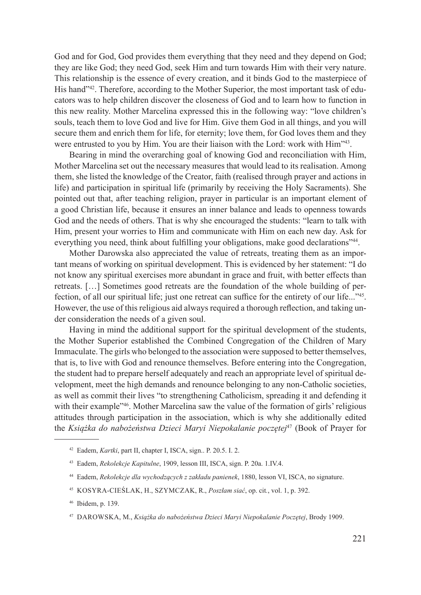God and for God, God provides them everything that they need and they depend on God; they are like God; they need God, seek Him and turn towards Him with their very nature. This relationship is the essence of every creation, and it binds God to the masterpiece of His hand"42. Therefore, according to the Mother Superior, the most important task of educators was to help children discover the closeness of God and to learn how to function in this new reality. Mother Marcelina expressed this in the following way: "love children's souls, teach them to love God and live for Him. Give them God in all things, and you will secure them and enrich them for life, for eternity; love them, for God loves them and they were entrusted to you by Him. You are their liaison with the Lord: work with Him<sup>343</sup>.

Bearing in mind the overarching goal of knowing God and reconciliation with Him, Mother Marcelina set out the necessary measures that would lead to its realisation. Among them, she listed the knowledge of the Creator, faith (realised through prayer and actions in life) and participation in spiritual life (primarily by receiving the Holy Sacraments). She pointed out that, after teaching religion, prayer in particular is an important element of a good Christian life, because it ensures an inner balance and leads to openness towards God and the needs of others. That is why she encouraged the students: "learn to talk with Him, present your worries to Him and communicate with Him on each new day. Ask for everything you need, think about fulfilling your obligations, make good declarations"<sup>44</sup>.

Mother Darowska also appreciated the value of retreats, treating them as an important means of working on spiritual development. This is evidenced by her statement: "I do not know any spiritual exercises more abundant in grace and fruit, with better effects than retreats. […] Sometimes good retreats are the foundation of the whole building of perfection, of all our spiritual life; just one retreat can suffice for the entirety of our life..."<sup>45</sup>. However, the use of this religious aid always required a thorough reflection, and taking under consideration the needs of a given soul.

Having in mind the additional support for the spiritual development of the students, the Mother Superior established the Combined Congregation of the Children of Mary Immaculate. The girls who belonged to the association were supposed to better themselves, that is, to live with God and renounce themselves. Before entering into the Congregation, the student had to prepare herself adequately and reach an appropriate level of spiritual development, meet the high demands and renounce belonging to any non-Catholic societies, as well as commit their lives "to strengthening Catholicism, spreading it and defending it with their example<sup>246</sup>. Mother Marcelina saw the value of the formation of girls' religious attitudes through participation in the association, which is why she additionally edited the *Książka do nabożeństwa Dzieci Maryi Niepokalanie poczętej*47 (Book of Prayer for

<sup>45</sup> Kosyra-Cieślak, H., Szymczak, R., *Poszłam siać*, op. cit*.*, vol. 1, p. 392.

<sup>42</sup> Eadem, *Kartki*, part II, chapter I, ISCA, sign.. P. 20.5. I. 2.

<sup>43</sup> Eadem, *Rekolekcje Kapitulne*, 1909, lesson III, ISCA, sign. P. 20a. 1.IV.4.

<sup>44</sup> Eadem, *Rekolekcje dla wychodzących z zakładu panienek*, 1880, lesson VI, ISCA, no signature.

<sup>46</sup> Ibidem, p. 139.

<sup>47</sup> Darowska, M., *Książka do nabożeństwa Dzieci Maryi Niepokalanie Poczętej*, Brody 1909.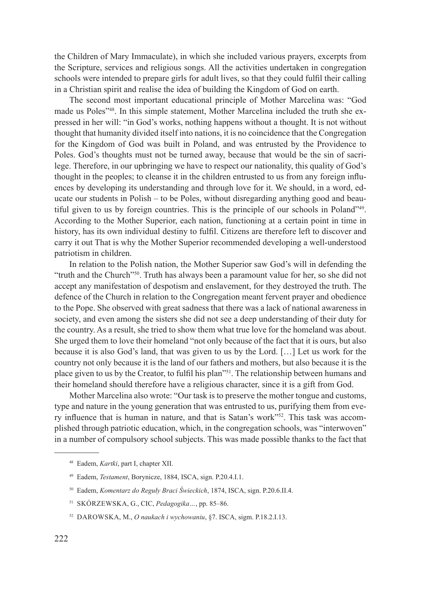the Children of Mary Immaculate), in which she included various prayers, excerpts from the Scripture, services and religious songs. All the activities undertaken in congregation schools were intended to prepare girls for adult lives, so that they could fulfil their calling in a Christian spirit and realise the idea of building the Kingdom of God on earth.

The second most important educational principle of Mother Marcelina was: "God made us Poles"48. In this simple statement, Mother Marcelina included the truth she expressed in her will: "in God's works, nothing happens without a thought. It is not without thought that humanity divided itself into nations, it is no coincidence that the Congregation for the Kingdom of God was built in Poland, and was entrusted by the Providence to Poles. God's thoughts must not be turned away, because that would be the sin of sacrilege. Therefore, in our upbringing we have to respect our nationality, this quality of God's thought in the peoples; to cleanse it in the children entrusted to us from any foreign influences by developing its understanding and through love for it. We should, in a word, educate our students in Polish – to be Poles, without disregarding anything good and beautiful given to us by foreign countries. This is the principle of our schools in Poland"49. According to the Mother Superior, each nation, functioning at a certain point in time in history, has its own individual destiny to fulfil. Citizens are therefore left to discover and carry it out That is why the Mother Superior recommended developing a well-understood patriotism in children.

In relation to the Polish nation, the Mother Superior saw God's will in defending the "truth and the Church"<sup>50</sup>. Truth has always been a paramount value for her, so she did not accept any manifestation of despotism and enslavement, for they destroyed the truth. The defence of the Church in relation to the Congregation meant fervent prayer and obedience to the Pope. She observed with great sadness that there was a lack of national awareness in society, and even among the sisters she did not see a deep understanding of their duty for the country. As a result, she tried to show them what true love for the homeland was about. She urged them to love their homeland "not only because of the fact that it is ours, but also because it is also God's land, that was given to us by the Lord. […] Let us work for the country not only because it is the land of our fathers and mothers, but also because it is the place given to us by the Creator, to fulfil his plan"51. The relationship between humans and their homeland should therefore have a religious character, since it is a gift from God.

Mother Marcelina also wrote: "Our task is to preserve the mother tongue and customs, type and nature in the young generation that was entrusted to us, purifying them from every influence that is human in nature, and that is Satan's work"52. This task was accomplished through patriotic education, which, in the congregation schools, was "interwoven" in a number of compulsory school subjects. This was made possible thanks to the fact that

<sup>48</sup> Eadem, *Kartki*, part I, chapter XII.

<sup>49</sup> Eadem, *Testament*, Borynicze, 1884, ISCA, sign. P.20.4.I.1.

<sup>50</sup> Eadem, *Komentarz do Reguły Braci Świeckich*, 1874, ISCA, sign. P.20.6.II.4.

<sup>51</sup> Skórzewska, G., CIC, *Pedagogika…*, pp. 85–86.

<sup>52</sup> Darowska, M., *O naukach i wychowaniu*, §7. ISCA, sigm. P.18.2.I.13.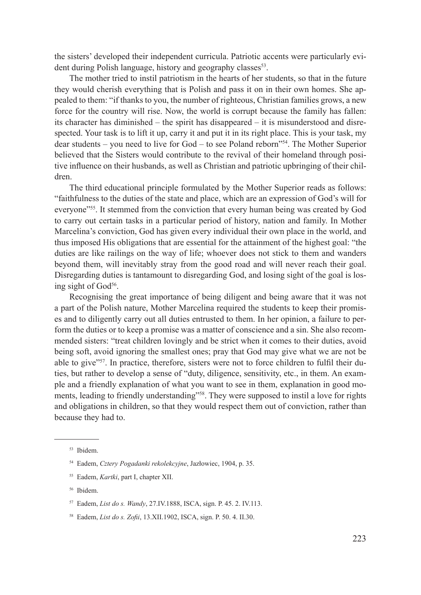the sisters' developed their independent curricula. Patriotic accents were particularly evident during Polish language, history and geography classes<sup>53</sup>.

The mother tried to instil patriotism in the hearts of her students, so that in the future they would cherish everything that is Polish and pass it on in their own homes. She appealed to them: "if thanks to you, the number of righteous, Christian families grows, a new force for the country will rise. Now, the world is corrupt because the family has fallen: its character has diminished – the spirit has disappeared – it is misunderstood and disrespected. Your task is to lift it up, carry it and put it in its right place. This is your task, my dear students – you need to live for  $God - to see Poland reborn<sup>354</sup>$ . The Mother Superior believed that the Sisters would contribute to the revival of their homeland through positive influence on their husbands, as well as Christian and patriotic upbringing of their children.

The third educational principle formulated by the Mother Superior reads as follows: "faithfulness to the duties of the state and place, which are an expression of God's will for everyone"55. It stemmed from the conviction that every human being was created by God to carry out certain tasks in a particular period of history, nation and family. In Mother Marcelina's conviction, God has given every individual their own place in the world, and thus imposed His obligations that are essential for the attainment of the highest goal: "the duties are like railings on the way of life; whoever does not stick to them and wanders beyond them, will inevitably stray from the good road and will never reach their goal. Disregarding duties is tantamount to disregarding God, and losing sight of the goal is losing sight of God<sup>56</sup>.

Recognising the great importance of being diligent and being aware that it was not a part of the Polish nature, Mother Marcelina required the students to keep their promises and to diligently carry out all duties entrusted to them. In her opinion, a failure to perform the duties or to keep a promise was a matter of conscience and a sin. She also recommended sisters: "treat children lovingly and be strict when it comes to their duties, avoid being soft, avoid ignoring the smallest ones; pray that God may give what we are not be able to give"57. In practice, therefore, sisters were not to force children to fulfil their duties, but rather to develop a sense of "duty, diligence, sensitivity, etc., in them. An example and a friendly explanation of what you want to see in them, explanation in good moments, leading to friendly understanding"<sup>58</sup>. They were supposed to instil a love for rights and obligations in children, so that they would respect them out of conviction, rather than because they had to.

<sup>53</sup> Ibidem.

<sup>54</sup> Eadem, *Cztery Pogadanki rekolekcyjne*, Jazłowiec, 1904, p. 35.

<sup>55</sup> Eadem, *Kartki*, part I, chapter XII.

<sup>56</sup> Ibidem.

<sup>57</sup> Eadem, *List do s. Wandy*, 27.IV.1888, ISCA, sign. P. 45. 2. IV.113.

<sup>58</sup> Eadem, *List do s. Zofii*, 13.XII.1902, ISCA, sign. P. 50. 4. II.30.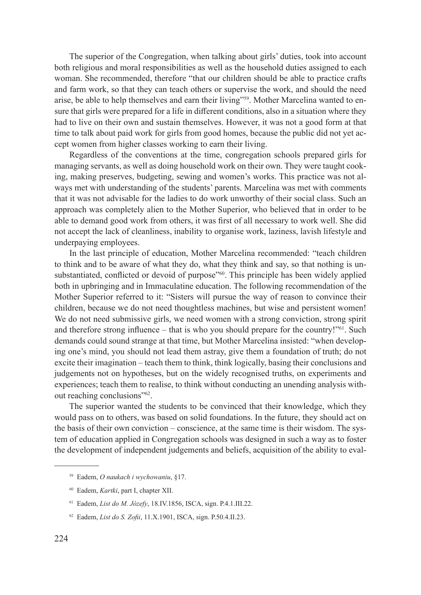The superior of the Congregation, when talking about girls' duties, took into account both religious and moral responsibilities as well as the household duties assigned to each woman. She recommended, therefore "that our children should be able to practice crafts and farm work, so that they can teach others or supervise the work, and should the need arise, be able to help themselves and earn their living"59. Mother Marcelina wanted to ensure that girls were prepared for a life in different conditions, also in a situation where they had to live on their own and sustain themselves. However, it was not a good form at that time to talk about paid work for girls from good homes, because the public did not yet accept women from higher classes working to earn their living.

Regardless of the conventions at the time, congregation schools prepared girls for managing servants, as well as doing household work on their own. They were taught cooking, making preserves, budgeting, sewing and women's works. This practice was not always met with understanding of the students' parents. Marcelina was met with comments that it was not advisable for the ladies to do work unworthy of their social class. Such an approach was completely alien to the Mother Superior, who believed that in order to be able to demand good work from others, it was first of all necessary to work well. She did not accept the lack of cleanliness, inability to organise work, laziness, lavish lifestyle and underpaying employees.

In the last principle of education, Mother Marcelina recommended: "teach children to think and to be aware of what they do, what they think and say, so that nothing is unsubstantiated, conflicted or devoid of purpose"<sup>60</sup>. This principle has been widely applied both in upbringing and in Immaculatine education. The following recommendation of the Mother Superior referred to it: "Sisters will pursue the way of reason to convince their children, because we do not need thoughtless machines, but wise and persistent women! We do not need submissive girls, we need women with a strong conviction, strong spirit and therefore strong influence – that is who you should prepare for the country!"61. Such demands could sound strange at that time, but Mother Marcelina insisted: "when developing one's mind, you should not lead them astray, give them a foundation of truth; do not excite their imagination – teach them to think, think logically, basing their conclusions and judgements not on hypotheses, but on the widely recognised truths, on experiments and experiences; teach them to realise, to think without conducting an unending analysis without reaching conclusions"62.

The superior wanted the students to be convinced that their knowledge, which they would pass on to others, was based on solid foundations. In the future, they should act on the basis of their own conviction – conscience, at the same time is their wisdom. The system of education applied in Congregation schools was designed in such a way as to foster the development of independent judgements and beliefs, acquisition of the ability to eval-

<sup>59</sup> Eadem, *O naukach i wychowaniu*, §17.

<sup>60</sup> Eadem, *Kartki*, part I, chapter XII.

<sup>61</sup> Eadem, *List do M. Józefy*, 18.IV.1856, ISCA, sign. P.4.1.III.22.

<sup>62</sup> Eadem, *List do S. Zofii*, 11.X.1901, ISCA, sign. P.50.4.II.23.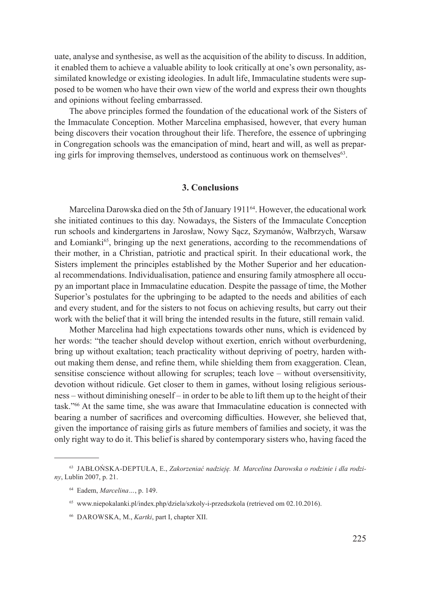uate, analyse and synthesise, as well as the acquisition of the ability to discuss. In addition, it enabled them to achieve a valuable ability to look critically at one's own personality, assimilated knowledge or existing ideologies. In adult life, Immaculatine students were supposed to be women who have their own view of the world and express their own thoughts and opinions without feeling embarrassed.

The above principles formed the foundation of the educational work of the Sisters of the Immaculate Conception. Mother Marcelina emphasised, however, that every human being discovers their vocation throughout their life. Therefore, the essence of upbringing in Congregation schools was the emancipation of mind, heart and will, as well as preparing girls for improving themselves, understood as continuous work on themselves<sup>63</sup>.

# **3. Conclusions**

Marcelina Darowska died on the 5th of January 1911<sup>64</sup>. However, the educational work she initiated continues to this day. Nowadays, the Sisters of the Immaculate Conception run schools and kindergartens in Jarosław, Nowy Sącz, Szymanów, Wałbrzych, Warsaw and Łomianki $65$ , bringing up the next generations, according to the recommendations of their mother, in a Christian, patriotic and practical spirit. In their educational work, the Sisters implement the principles established by the Mother Superior and her educational recommendations. Individualisation, patience and ensuring family atmosphere all occupy an important place in Immaculatine education. Despite the passage of time, the Mother Superior's postulates for the upbringing to be adapted to the needs and abilities of each and every student, and for the sisters to not focus on achieving results, but carry out their work with the belief that it will bring the intended results in the future, still remain valid.

Mother Marcelina had high expectations towards other nuns, which is evidenced by her words: "the teacher should develop without exertion, enrich without overburdening, bring up without exaltation; teach practicality without depriving of poetry, harden without making them dense, and refine them, while shielding them from exaggeration. Clean, sensitise conscience without allowing for scruples; teach love – without oversensitivity, devotion without ridicule. Get closer to them in games, without losing religious seriousness – without diminishing oneself – in order to be able to lift them up to the height of their task."66 At the same time, she was aware that Immaculatine education is connected with bearing a number of sacrifices and overcoming difficulties. However, she believed that, given the importance of raising girls as future members of families and society, it was the only right way to do it. This belief is shared by contemporary sisters who, having faced the

<sup>63</sup> Jabłońska-Deptuła, E., *Zakorzeniać nadzieję. M. Marcelina Darowska o rodzinie i dla rodziny*, Lublin 2007, p. 21.

<sup>64</sup> Eadem, *Marcelina…*, p. 149.

<sup>65</sup> www.niepokalanki.pl/index.php/dziela/szkoly-i-przedszkola (retrieved om 02.10.2016).

<sup>66</sup> Darowska, M., *Kartki*, part I, chapter XII.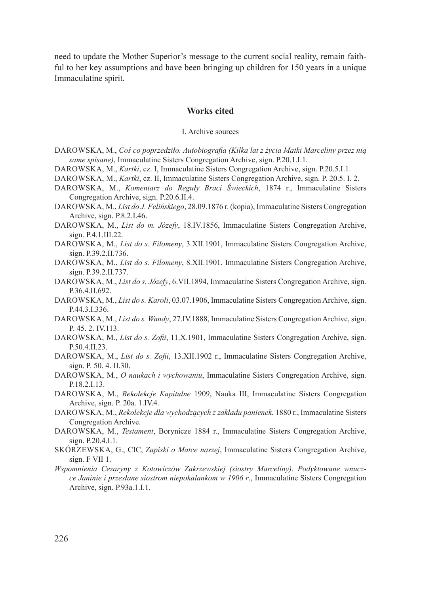need to update the Mother Superior's message to the current social reality, remain faithful to her key assumptions and have been bringing up children for 150 years in a unique Immaculatine spirit.

# **Works cited**

### I. Archive sources

- Darowska, M., *Coś co poprzedziło. Autobiografia (Kilka lat z życia Matki Marceliny przez nią same spisane)*, Immaculatine Sisters Congregation Archive, sign. P.20.1.I.1.
- Darowska, M., *Kartki*, cz. I, Immaculatine Sisters Congregation Archive, sign. P.20.5.I.1.
- Darowska, M., *Kartki*, cz. II, Immaculatine Sisters Congregation Archive, sign. P. 20.5. I. 2.
- Darowska, M., *Komentarz do Reguły Braci Świeckich*, 1874 r., Immaculatine Sisters Congregation Archive, sign. P.20.6.II.4.
- Darowska, M., *List do J. Felińskiego*, 28.09.1876 r. (kopia), Immaculatine Sisters Congregation Archive, sign. P.8.2.I.46.
- Darowska, M., *List do m. Józefy*, 18.IV.1856, Immaculatine Sisters Congregation Archive, sign. P.4.1.III.22.
- Darowska, M., *List do s. Filomeny*, 3.XII.1901, Immaculatine Sisters Congregation Archive, sign. P.39.2.II.736.
- Darowska, M., *List do s. Filomeny*, 8.XII.1901, Immaculatine Sisters Congregation Archive, sign. P.39.2.II.737.
- Darowska, M., *List do s. Józefy*, 6.VII.1894, Immaculatine Sisters Congregation Archive, sign. P.36.4.II.692.
- Darowska, M*.*, *List do s. Karoli*, 03.07.1906, Immaculatine Sisters Congregation Archive, sign. P.44.3.I.336.
- Darowska, M., *List do s. Wandy*, 27.IV.1888, Immaculatine Sisters Congregation Archive, sign. P. 45. 2. IV.113.
- DAROWSKA, M., *List do s. Zofii*, 11.X.1901, Immaculatine Sisters Congregation Archive, sign. P.50.4.II.23.
- Darowska, M., *List do s. Zofii*, 13.XII.1902 r., Immaculatine Sisters Congregation Archive, sign. P. 50. 4. II.30.
- DAROWSKA, M., *O naukach i wychowaniu*, Immaculatine Sisters Congregation Archive, sign. P.18.2.I.13.
- Darowska, M., *Rekolekcje Kapitulne* 1909, Nauka III, Immaculatine Sisters Congregation Archive, sign. P. 20a. 1.IV.4.
- Darowska, M., *Rekolekcje dla wychodzących z zakładu panienek*, 1880 r., Immaculatine Sisters Congregation Archive.
- DAROWSKA, M., *Testament*, Borynicze 1884 r., Immaculatine Sisters Congregation Archive, sign. P.20.4.I.1.
- Skórzewska, G., CIC, *Zapiski o Matce naszej*, Immaculatine Sisters Congregation Archive, sign. F VII 1.
- *Wspomnienia Cezaryny z Kotowiczów Zakrzewskiej (siostry Marceliny). Podyktowane wnuczce Janinie i przesłane siostrom niepokalankom w 1906 r*., Immaculatine Sisters Congregation Archive, sign. P.93a.1.I.1.